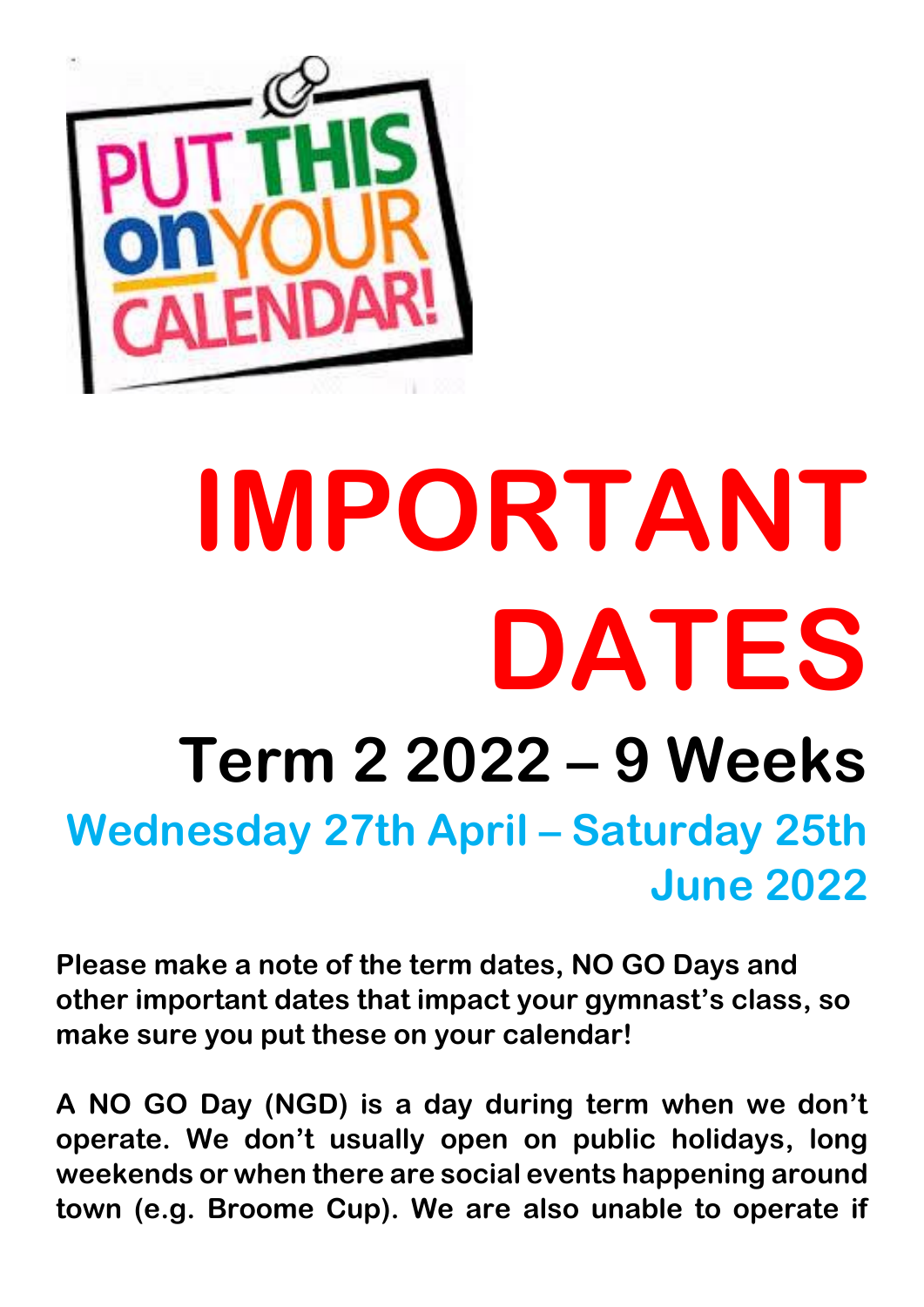

## **IMPORTANT DATES Term 2 2022 – 9 Weeks Wednesday 27th April – Saturday 25th June 2022**

**Please make a note of the term dates, NO GO Days and other important dates that impact your gymnast's class, so make sure you put these on your calendar!**

**A NO GO Day (NGD) is a day during term when we don't operate. We don't usually open on public holidays, long weekends or when there are social events happening around town (e.g. Broome Cup). We are also unable to operate if**